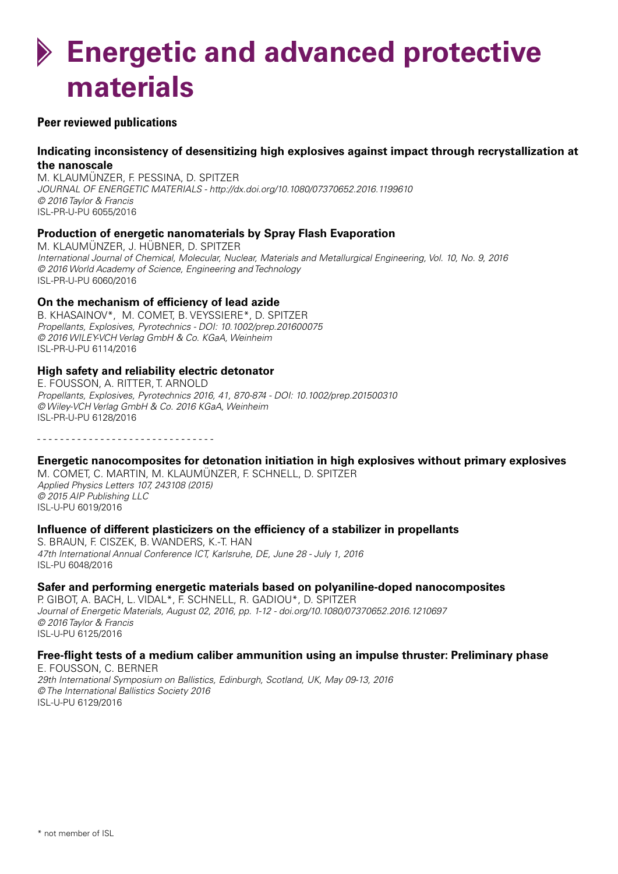# **Energetic and advanced protective materials**

# **Peer reviewed publications**

# **Indicating inconsistency of desensitizing high explosives against impact through recrystallization at the nanoscale**

M. KLAUMÜNZER, F. PESSINA, D. SPITZER *JOURNAL OF ENERGETIC MATERIALS - http://dx.doi.org/10.1080/07370652.2016.1199610 © 2016 Taylor & Francis* ISL-PR-U-PU 6055/2016

# **Production of energetic nanomaterials by Spray Flash Evaporation**

M. KLAUMÜNZER, J. HÜBNER, D. SPITZER *International Journal of Chemical, Molecular, Nuclear, Materials and Metallurgical Engineering, Vol. 10, No. 9, 2016 © 2016 World Academy of Science, Engineering and Technology* ISL-PR-U-PU 6060/2016

# **On the mechanism of efficiency of lead azide**

B. KHASAINOV\*, M. COMET, B. VEYSSIERE\*, D. SPITZER *Propellants, Explosives, Pyrotechnics - DOI: 10.1002/prep.201600075 © 2016 WILEY-VCH Verlag GmbH & Co. KGaA, Weinheim* ISL-PR-U-PU 6114/2016

# **High safety and reliability electric detonator**

E. FOUSSON, A. RITTER, T. ARNOLD *Propellants, Explosives, Pyrotechnics 2016, 41, 870-874 - DOI: 10.1002/prep.201500310 © Wiley-VCH Verlag GmbH & Co. 2016 KGaA, Weinheim* ISL-PR-U-PU 6128/2016

- - - - - - - - - - - - - - - - - - - - - - - - - - - - - - -

# **Energetic nanocomposites for detonation initiation in high explosives without primary explosives**

M. COMET, C. MARTIN, M. KLAUMÜNZER, F. SCHNELL, D. SPITZER *Applied Physics Letters 107, 243108 (2015) © 2015 AIP Publishing LLC* ISL-U-PU 6019/2016

# **Influence of different plasticizers on the efficiency of a stabilizer in propellants**

S. BRAUN, F. CISZEK, B. WANDERS, K.-T. HAN *47th International Annual Conference ICT, Karlsruhe, DE, June 28 - July 1, 2016* ISL-PU 6048/2016

# **Safer and performing energetic materials based on polyaniline-doped nanocomposites**

P. GIBOT, A. BACH, L. VIDAL\*, F. SCHNELL, R. GADIOU\*, D. SPITZER *Journal of Energetic Materials, August 02, 2016, pp. 1-12 - doi.org/10.1080/07370652.2016.1210697 © 2016 Taylor & Francis* ISL-U-PU 6125/2016

# **Free-flight tests of a medium caliber ammunition using an impulse thruster: Preliminary phase**

E. FOUSSON, C. BERNER *29th International Symposium on Ballistics, Edinburgh, Scotland, UK, May 09-13, 2016 © The International Ballistics Society 2016* ISL-U-PU 6129/2016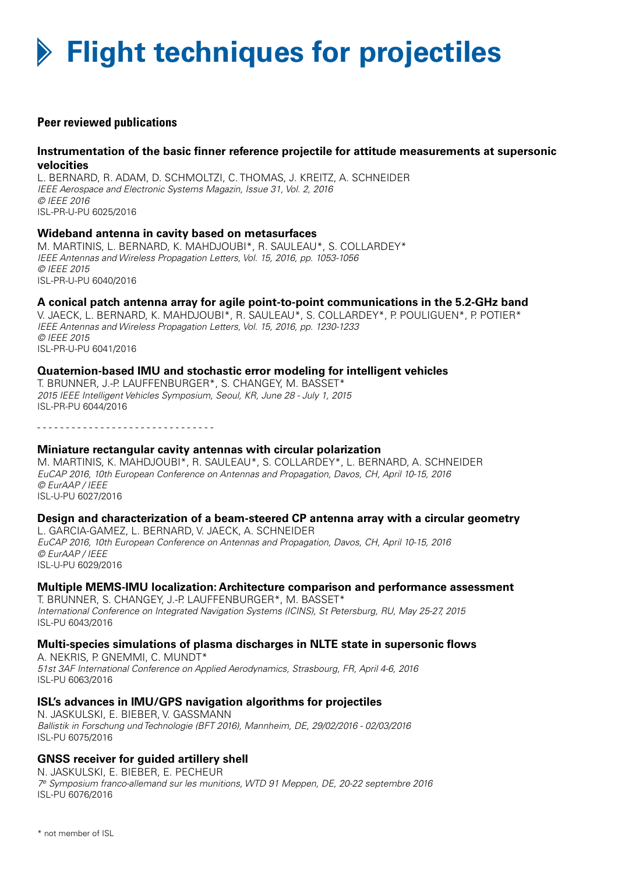# **Flight techniques for projectiles**

# **Peer reviewed publications**

# **Instrumentation of the basic finner reference projectile for attitude measurements at supersonic velocities**

L. BERNARD, R. ADAM, D. SCHMOLTZI, C. THOMAS, J. KREITZ, A. SCHNEIDER *IEEE Aerospace and Electronic Systems Magazin, Issue 31, Vol. 2, 2016 © IEEE 2016* ISL-PR-U-PU 6025/2016

#### **Wideband antenna in cavity based on metasurfaces**

M. MARTINIS, L. BERNARD, K. MAHDJOUBI\*, R. SAULEAU\*, S. COLLARDEY\* *IEEE Antennas and Wireless Propagation Letters, Vol. 15, 2016, pp. 1053-1056 © IEEE 2015* ISL-PR-U-PU 6040/2016

# **A conical patch antenna array for agile point-to-point communications in the 5.2-GHz band**

V. JAECK, L. BERNARD, K. MAHDJOUBI\*, R. SAULEAU\*, S. COLLARDEY\*, P. POULIGUEN\*, P. POTIER\* *IEEE Antennas and Wireless Propagation Letters, Vol. 15, 2016, pp. 1230-1233 © IEEE 2015* ISL-PR-U-PU 6041/2016

#### **Quaternion-based IMU and stochastic error modeling for intelligent vehicles**

T. BRUNNER, J.-P. LAUFFENBURGER\*, S. CHANGEY, M. BASSET\* *2015 IEEE Intelligent Vehicles Symposium, Seoul, KR, June 28 - July 1, 2015* ISL-PR-PU 6044/2016

- - - - - - - - - - - - - - - - - - - - - - - - - - - - - - -

#### **Miniature rectangular cavity antennas with circular polarization**

M. MARTINIS, K. MAHDJOUBI\*, R. SAULEAU\*, S. COLLARDEY\*, L. BERNARD, A. SCHNEIDER *EuCAP 2016, 10th European Conference on Antennas and Propagation, Davos, CH, April 10-15, 2016 © EurAAP / IEEE* ISL-U-PU 6027/2016

#### **Design and characterization of a beam-steered CP antenna array with a circular geometry**

L. GARCIA-GAMEZ, L. BERNARD, V. JAECK, A. SCHNEIDER *EuCAP 2016, 10th European Conference on Antennas and Propagation, Davos, CH, April 10-15, 2016 © EurAAP / IEEE* ISL-U-PU 6029/2016

#### **Multiple MEMS-IMU localization: Architecture comparison and performance assessment**

T. BRUNNER, S. CHANGEY, J.-P. LAUFFENBURGER\*, M. BASSET\* *International Conference on Integrated Navigation Systems (ICINS), St Petersburg, RU, May 25-27, 2015* ISL-PU 6043/2016

# **Multi-species simulations of plasma discharges in NLTE state in supersonic flows**

A. NEKRIS, P. GNEMMI, C. MUNDT\* *51st 3AF International Conference on Applied Aerodynamics, Strasbourg, FR, April 4-6, 2016* ISL-PU 6063/2016

# **ISL's advances in IMU/GPS navigation algorithms for projectiles**

N. JASKULSKI, E. BIEBER, V. GASSMANN *Ballistik in Forschung und Technologie (BFT 2016), Mannheim, DE, 29/02/2016 - 02/03/2016* ISL-PU 6075/2016

# **GNSS receiver for guided artillery shell**

N. JASKULSKI, E. BIEBER, E. PECHEUR *7e Symposium franco-allemand sur les munitions, WTD 91 Meppen, DE, 20-22 septembre 2016* ISL-PU 6076/2016

\* not member of ISL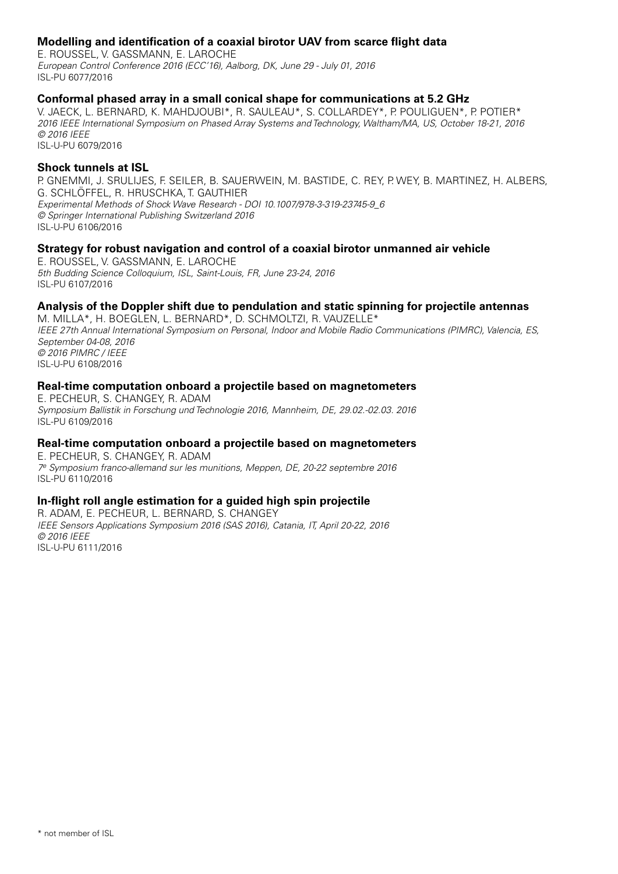# **Modelling and identification of a coaxial birotor UAV from scarce flight data**

E. ROUSSEL, V. GASSMANN, E. LAROCHE *European Control Conference 2016 (ECC'16), Aalborg, DK, June 29 - July 01, 2016* ISL-PU 6077/2016

#### **Conformal phased array in a small conical shape for communications at 5.2 GHz**

V. JAECK, L. BERNARD, K. MAHDJOUBI\*, R. SAULEAU\*, S. COLLARDEY\*, P. POULIGUEN\*, P. POTIER\* *2016 IEEE International Symposium on Phased Array Systems and Technology, Waltham/MA, US, October 18-21, 2016 © 2016 IEEE* ISL-U-PU 6079/2016

#### **Shock tunnels at ISL**

P. GNEMMI, J. SRULIJES, F. SEILER, B. SAUERWEIN, M. BASTIDE, C. REY, P. WEY, B. MARTINEZ, H. ALBERS, G. SCHLÖFFEL, R. HRUSCHKA, T. GAUTHIER *Experimental Methods of Shock Wave Research - DOI 10.1007/978-3-319-23745-9\_6 © Springer International Publishing Switzerland 2016* ISL-U-PU 6106/2016

# **Strategy for robust navigation and control of a coaxial birotor unmanned air vehicle**

E. ROUSSEL, V. GASSMANN, E. LAROCHE *5th Budding Science Colloquium, ISL, Saint-Louis, FR, June 23-24, 2016* ISL-PU 6107/2016

# **Analysis of the Doppler shift due to pendulation and static spinning for projectile antennas**

M. MILLA\*, H. BOEGLEN, L. BERNARD\*, D. SCHMOLTZI, R. VAUZELLE\* *IEEE 27th Annual International Symposium on Personal, Indoor and Mobile Radio Communications (PIMRC), Valencia, ES, September 04-08, 2016 © 2016 PIMRC / IEEE* ISL-U-PU 6108/2016

#### **Real-time computation onboard a projectile based on magnetometers**

E. PECHEUR, S. CHANGEY, R. ADAM *Symposium Ballistik in Forschung und Technologie 2016, Mannheim, DE, 29.02.-02.03. 2016* ISL-PU 6109/2016

# **Real-time computation onboard a projectile based on magnetometers**

E. PECHEUR, S. CHANGEY, R. ADAM *7e Symposium franco-allemand sur les munitions, Meppen, DE, 20-22 septembre 2016* ISL-PU 6110/2016

# **In-flight roll angle estimation for a guided high spin projectile**

R. ADAM, E. PECHEUR, L. BERNARD, S. CHANGEY *IEEE Sensors Applications Symposium 2016 (SAS 2016), Catania, IT, April 20-22, 2016 © 2016 IEEE* ISL-U-PU 6111/2016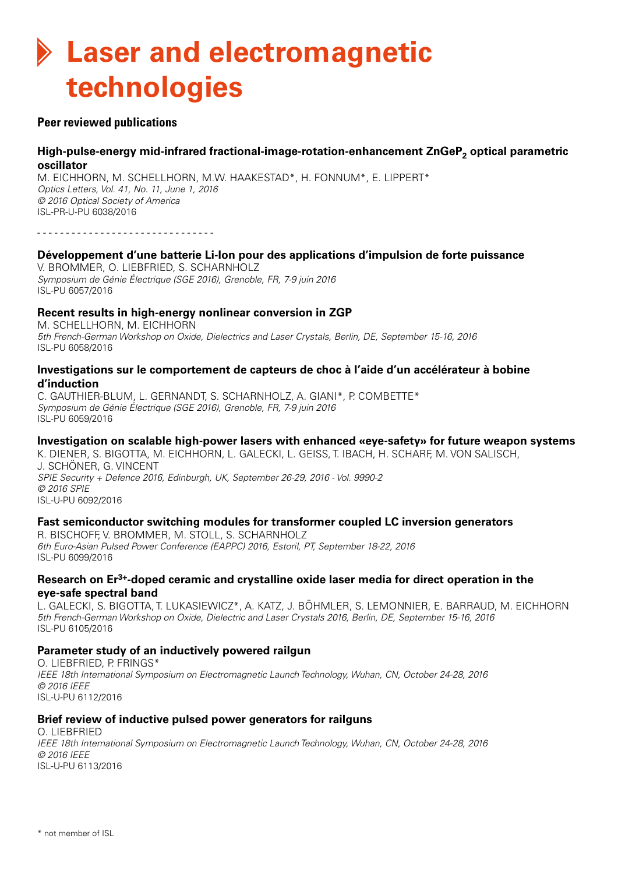# **Laser and electromagnetic technologies**

# **Peer reviewed publications**

# High-pulse-energy mid-infrared fractional-image-rotation-enhancement ZnGeP<sub>2</sub> optical parametric **oscillator**

M. EICHHORN, M. SCHELLHORN, M.W. HAAKESTAD\*, H. FONNUM\*, E. LIPPERT\* *Optics Letters, Vol. 41, No. 11, June 1, 2016 © 2016 Optical Society of America* ISL-PR-U-PU 6038/2016

- - - - - - - - - - - - - - - - - - - - - - - - - - - - - - -

#### **Développement d'une batterie Li-Ion pour des applications d'impulsion de forte puissance**

V. BROMMER, O. LIEBFRIED, S. SCHARNHOLZ *Symposium de Génie Électrique (SGE 2016), Grenoble, FR, 7-9 juin 2016* ISL-PU 6057/2016

# **Recent results in high-energy nonlinear conversion in ZGP**

M. SCHELLHORN, M. EICHHORN *5th French-German Workshop on Oxide, Dielectrics and Laser Crystals, Berlin, DE, September 15-16, 2016* ISL-PU 6058/2016

# **Investigations sur le comportement de capteurs de choc à l'aide d'un accélérateur à bobine d'induction**

C. GAUTHIER-BLUM, L. GERNANDT, S. SCHARNHOLZ, A. GIANI\*, P. COMBETTE\* *Symposium de Génie Électrique (SGE 2016), Grenoble, FR, 7-9 juin 2016* ISL-PU 6059/2016

# **Investigation on scalable high-power lasers with enhanced «eye-safety» for future weapon systems**

K. DIENER, S. BIGOTTA, M. EICHHORN, L. GALECKI, L. GEISS, T. IBACH, H. SCHARF, M. von SALISCH, J. SCHÖNER, G. VINCENT *SPIE Security + Defence 2016, Edinburgh, UK, September 26-29, 2016 - Vol. 9990-2 © 2016 SPIE* ISL-U-PU 6092/2016

# **Fast semiconductor switching modules for transformer coupled LC inversion generators**

R. BISCHOFF, V. BROMMER, M. STOLL, S. SCHARNHOLZ *6th Euro-Asian Pulsed Power Conference (EAPPC) 2016, Estoril, PT, September 18-22, 2016* ISL-PU 6099/2016

#### **Research on Er3+-doped ceramic and crystalline oxide laser media for direct operation in the eye-safe spectral band**

L. GALECKI, S. BIGOTTA, T. LUKASIEWICZ\*, A. KATZ, J. BÖHMLER, S. LEMONNIER, E. BARRAUD, M. EICHHORN *5th French-German Workshop on Oxide, Dielectric and Laser Crystals 2016, Berlin, DE, September 15-16, 2016* ISL-PU 6105/2016

# **Parameter study of an inductively powered railgun**

O. LIEBFRIED, P. FRINGS\* *IEEE 18th International Symposium on Electromagnetic Launch Technology, Wuhan, CN, October 24-28, 2016 © 2016 IEEE* ISL-U-PU 6112/2016

# **Brief review of inductive pulsed power generators for railguns**

O. LIEBFRIED *IEEE 18th International Symposium on Electromagnetic Launch Technology, Wuhan, CN, October 24-28, 2016 © 2016 IEEE* ISL-U-PU 6113/2016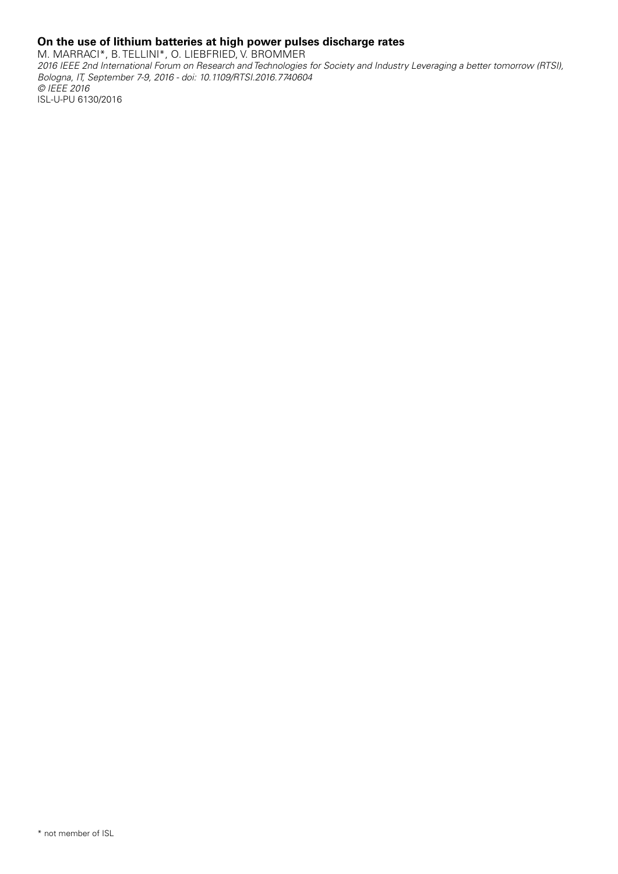# **On the use of lithium batteries at high power pulses discharge rates**

M. MARRACI\*, B. TELLINI\*, O. LIEBFRIED, V. BROMMER *2016 IEEE 2nd International Forum on Research and Technologies for Society and Industry Leveraging a better tomorrow (RTSI), Bologna, IT, September 7-9, 2016 - doi: 10.1109/RTSI.2016.7740604 © IEEE 2016* ISL-U-PU 6130/2016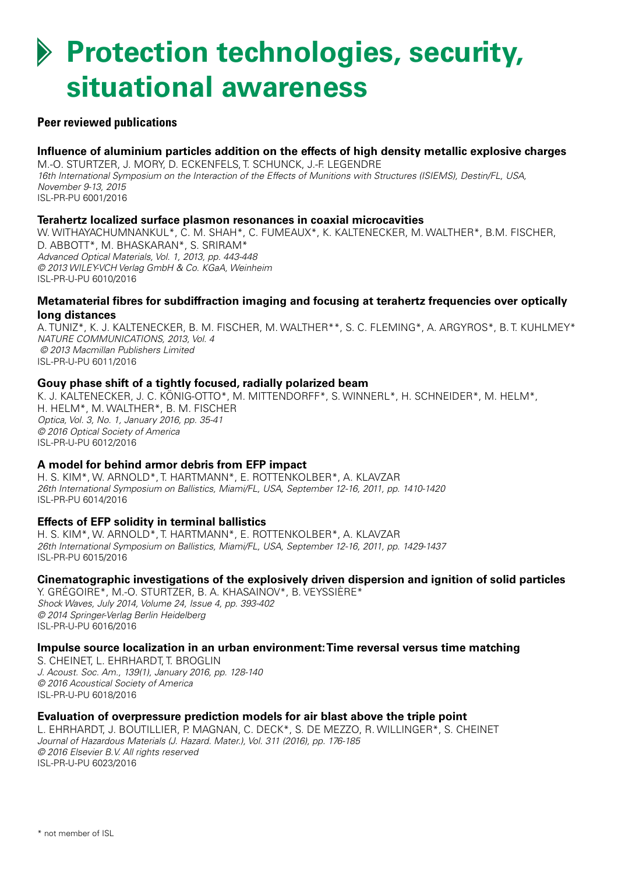# **Protection technologies, security, situational awareness**

# **Peer reviewed publications**

# **Influence of aluminium particles addition on the effects of high density metallic explosive charges**

M.-O. STURTZER, J. MORY, D. ECKENFELS, T. SCHUNCK, J.-F. LEGENDRE *16th International Symposium on the Interaction of the Effects of Munitions with Structures (ISIEMS), Destin/FL, USA, November 9-13, 2015* ISL-PR-PU 6001/2016

#### **Terahertz localized surface plasmon resonances in coaxial microcavities**

W. WITHAYACHUMNANKUL\*, C. M. SHAH\*, C. FUMEAUX\*, K. KALTENECKER, M. WALTHER\*, B.M. FISCHER, D. ABBOTT\*, M. BHASKARAN\*, S. SRIRAM\* *Advanced Optical Materials, Vol. 1, 2013, pp. 443-448 © 2013 WILEY-VCH Verlag GmbH & Co. KGaA, Weinheim* ISL-PR-U-PU 6010/2016

# **Metamaterial fibres for subdiffraction imaging and focusing at terahertz frequencies over optically long distances**

A. TUNIZ\*, K. J. KALTENECKER, B. M. FISCHER, M. WALTHER\*\*, S. C. FLEMING\*, A. ARGYROS\*, B. T. KUHLMEY\* *NATURE COMMUNICATIONS, 2013, Vol. 4 © 2013 Macmillan Publishers Limited* ISL-PR-U-PU 6011/2016

# **Gouy phase shift of a tightly focused, radially polarized beam**

K. J. KALTENECKER, J. C. KÖNIG-OTTO\*, M. MITTENDORFF\*, S. WINNERL\*, H. SCHNEIDER\*, M. HELM\*, H. HELM\*, M. WALTHER\*, B. M. FISCHER *Optica, Vol. 3, No. 1, January 2016, pp. 35-41 © 2016 Optical Society of America* ISL-PR-U-PU 6012/2016

# **A model for behind armor debris from EFP impact**

H. S. KIM\*, W. ARNOLD\*, T. HARTMANN\*, E. ROTTENKOLBER\*, A. KLAVZAR *26th International Symposium on Ballistics, Miami/FL, USA, September 12-16, 2011, pp. 1410-1420* ISL-PR-PU 6014/2016

# **Effects of EFP solidity in terminal ballistics**

H. S. KIM\*, W. ARNOLD\*, T. HARTMANN\*, E. ROTTENKOLBER\*, A. KLAVZAR *26th International Symposium on Ballistics, Miami/FL, USA, September 12-16, 2011, pp. 1429-1437* ISL-PR-PU 6015/2016

# **Cinematographic investigations of the explosively driven dispersion and ignition of solid particles**

Y. GRÉGOIRE\*, M.-O. STURTZER, B. A. KHASAINOV\*, B. VEYSSIÈRE\* *Shock Waves, July 2014, Volume 24, Issue 4, pp. 393-402 © 2014 Springer-Verlag Berlin Heidelberg* ISL-PR-U-PU 6016/2016

# **Impulse source localization in an urban environment: Time reversal versus time matching**

S. CHEINET, L. EHRHARDT, T. BROGLIN *J. Acoust. Soc. Am., 139(1), January 2016, pp. 128-140 © 2016 Acoustical Society of America* ISL-PR-U-PU 6018/2016

# **Evaluation of overpressure prediction models for air blast above the triple point**

L. EHRHARDT, J. BOUTILLIER, P. MAGNAN, C. DECK\*, S. De MEZZO, R. WILLINGER\*, S. CHEINET *Journal of Hazardous Materials (J. Hazard. Mater.), Vol. 311 (2016), pp. 176-185 © 2016 Elsevier B.V. All rights reserved* ISL-PR-U-PU 6023/2016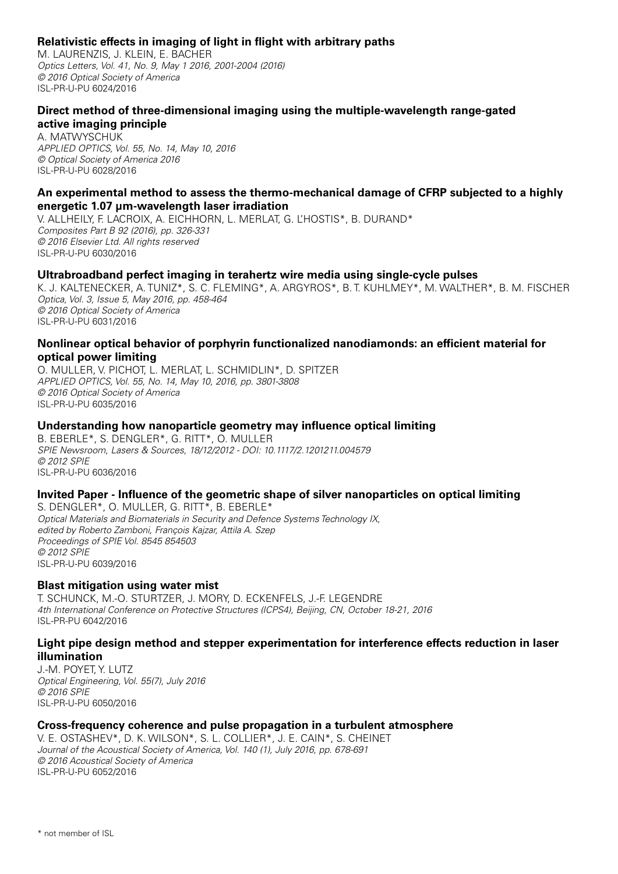# **Relativistic effects in imaging of light in flight with arbitrary paths**

M. LAURENZIS, J. KLEIN, E. BACHER *Optics Letters, Vol. 41, No. 9, May 1 2016, 2001-2004 (2016) © 2016 Optical Society of America* ISL-PR-U-PU 6024/2016

# **Direct method of three-dimensional imaging using the multiple-wavelength range-gated active imaging principle**

A. MATWYSCHUK *APPLIED OPTICS, Vol. 55, No. 14, May 10, 2016 © Optical Society of America 2016* ISL-PR-U-PU 6028/2016

# **An experimental method to assess the thermo-mechanical damage of CFRP subjected to a highly energetic 1.07 µm-wavelength laser irradiation**

V. ALLHEILY, F. LACROIX, A. EICHHORN, L. MERLAT, G. L'HOSTIS\*, B. DURAND\* *Composites Part B 92 (2016), pp. 326-331 © 2016 Elsevier Ltd. All rights reserved* ISL-PR-U-PU 6030/2016

# **Ultrabroadband perfect imaging in terahertz wire media using single-cycle pulses**

K. J. KALTENECKER, A. TUNIZ\*, S. C. FLEMING\*, A. ARGYROS\*, B. T. KUHLMEY\*, M. WALTHER\*, B. M. FISCHER *Optica, Vol. 3, Issue 5, May 2016, pp. 458-464 © 2016 Optical Society of America* ISL-PR-U-PU 6031/2016

# **Nonlinear optical behavior of porphyrin functionalized nanodiamonds: an efficient material for optical power limiting**

O. MULLER, V. PICHOT, L. MERLAT, L. SCHMIDLIN\*, D. SPITZER *APPLIED OPTICS, Vol. 55, No. 14, May 10, 2016, pp. 3801-3808 © 2016 Optical Society of America* ISL-PR-U-PU 6035/2016

# **Understanding how nanoparticle geometry may influence optical limiting**

B. EBERLE\*, S. DENGLER\*, G. RITT\*, O. MULLER *SPIE Newsroom, Lasers & Sources, 18/12/2012 - DOI: 10.1117/2.1201211.004579 © 2012 SPIE* ISL-PR-U-PU 6036/2016

# **Invited Paper - Influence of the geometric shape of silver nanoparticles on optical limiting**

S. DENGLER\*, O. MULLER, G. RITT\*, B. EBERLE\* *Optical Materials and Biomaterials in Security and Defence Systems Technology IX, edited by Roberto Zamboni, François Kajzar, Attila A. Szep Proceedings of SPIE Vol. 8545 854503 © 2012 SPIE* ISL-PR-U-PU 6039/2016

# **Blast mitigation using water mist**

T. SCHUNCK, M.-O. STURTZER, J. MORY, D. ECKENFELS, J.-F. LEGENDRE *4th International Conference on Protective Structures (ICPS4), Beijing, CN, October 18-21, 2016* ISL-PR-PU 6042/2016

# **Light pipe design method and stepper experimentation for interference effects reduction in laser illumination**

J.-M. POYET, Y. LUTZ *Optical Engineering, Vol. 55(7), July 2016 © 2016 SPIE* ISL-PR-U-PU 6050/2016

# **Cross-frequency coherence and pulse propagation in a turbulent atmosphere**

V. E. OSTASHEV\*, D. K. WILSON\*, S. L. COLLIER\*, J. E. CAIN\*, S. CHEINET *Journal of the Acoustical Society of America, Vol. 140 (1), July 2016, pp. 678-691 © 2016 Acoustical Society of America* ISL-PR-U-PU 6052/2016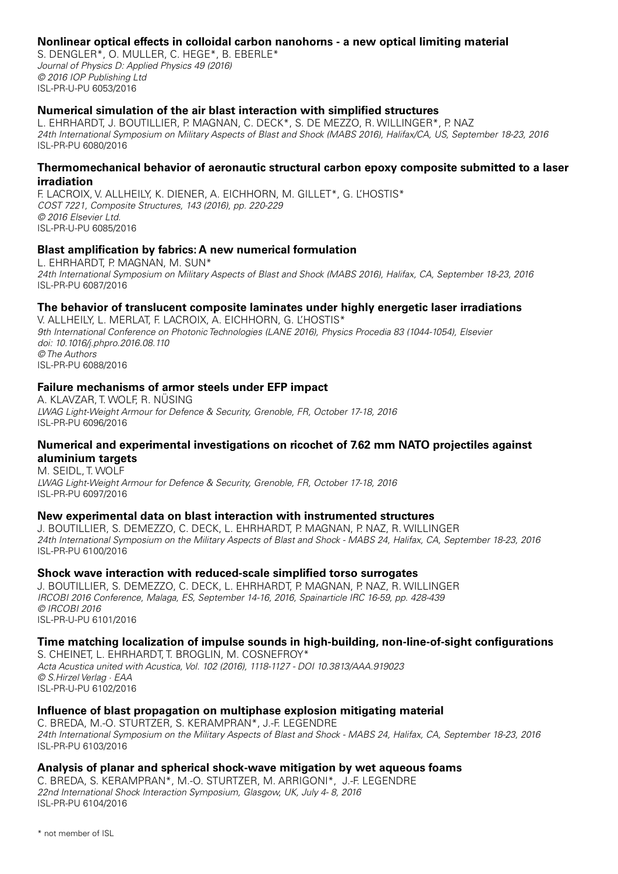# **Nonlinear optical effects in colloidal carbon nanohorns - a new optical limiting material**

S. DENGLER\*, O. MULLER, C. HEGE\*, B. EBERLE\* *Journal of Physics D: Applied Physics 49 (2016) © 2016 IOP Publishing Ltd* ISL-PR-U-PU 6053/2016

# **Numerical simulation of the air blast interaction with simplified structures**

L. EHRHARDT, J. BOUTILLIER, P. MAGNAN, C. DECK\*, S. DE MEZZO, R. WILLINGER\*, P. NAZ *24th International Symposium on Military Aspects of Blast and Shock (MABS 2016), Halifax/CA, US, September 18-23, 2016* ISL-PR-PU 6080/2016

#### **Thermomechanical behavior of aeronautic structural carbon epoxy composite submitted to a laser irradiation**

F. LACROIX, V. ALLHEILY, K. DIENER, A. EICHHORN, M. GILLET\*, G. L'HOSTIS\* *COST 7221, Composite Structures, 143 (2016), pp. 220-229 © 2016 Elsevier Ltd.* ISL-PR-U-PU 6085/2016

# **Blast amplification by fabrics: A new numerical formulation**

L. EHRHARDT, P. MAGNAN, M. SUN\* *24th International Symposium on Military Aspects of Blast and Shock (MABS 2016), Halifax, CA, September 18-23, 2016* ISL-PR-PU 6087/2016

# **The behavior of translucent composite laminates under highly energetic laser irradiations**

V. ALLHEILY, L. MERLAT, F. LACROIX, A. EICHHORN, G. L'HOSTIS\* *9th International Conference on Photonic Technologies (LANE 2016), Physics Procedia 83 (1044-1054), Elsevier doi: 10.1016/j.phpro.2016.08.110 © The Authors* ISL-PR-PU 6088/2016

# **Failure mechanisms of armor steels under EFP impact**

A. KLAVZAR, T. WOLF, R. NÜSING *LWAG Light-Weight Armour for Defence & Security, Grenoble, FR, October 17-18, 2016* ISL-PR-PU 6096/2016

#### **Numerical and experimental investigations on ricochet of 7.62 mm NATO projectiles against aluminium targets**

M. SEIDL, T. WOLF *LWAG Light-Weight Armour for Defence & Security, Grenoble, FR, October 17-18, 2016* ISL-PR-PU 6097/2016

# **New experimental data on blast interaction with instrumented structures**

J. BOUTILLIER, S. DeMEZZO, C. DECK, L. EHRHARDT, P. MAGNAN, P. NAZ, R. WILLINGER *24th International Symposium on the Military Aspects of Blast and Shock - MABS 24, Halifax, CA, September 18-23, 2016* ISL-PR-PU 6100/2016

# **Shock wave interaction with reduced-scale simplified torso surrogates**

J. BOUTILLIER, S. DeMEZZO, C. DECK, L. EHRHARDT, P. MAGNAN, P. NAZ, R. WILLINGER *IRCOBI 2016 Conference, Malaga, ES, September 14-16, 2016, Spainarticle IRC 16-59, pp. 428-439 © IRCOBI 2016* ISL-PR-U-PU 6101/2016

# **Time matching localization of impulse sounds in high-building, non-line-of-sight configurations**

S. CHEINET, L. EHRHARDT, T. BROGLIN, M. COSNEFROY\* *Acta Acustica united with Acustica, Vol. 102 (2016), 1118-1127 - DOI 10.3813/AAA.919023 © S.Hirzel Verlag · EAA* ISL-PR-U-PU 6102/2016

# **Influence of blast propagation on multiphase explosion mitigating material**

C. BREDA, M.-O. STURTZER, S. KERAMPRAN\*, J.-F. LEGENDRE *24th International Symposium on the Military Aspects of Blast and Shock - MABS 24, Halifax, CA, September 18-23, 2016* ISL-PR-PU 6103/2016

# **Analysis of planar and spherical shock-wave mitigation by wet aqueous foams**

C. BREDA, S. KERAMPRAN\*, M.-O. STURTZER, M. ARRIGONI\*, J.-F. LEGENDRE *22nd International Shock Interaction Symposium, Glasgow, UK, July 4- 8, 2016* ISL-PR-PU 6104/2016

\* not member of ISL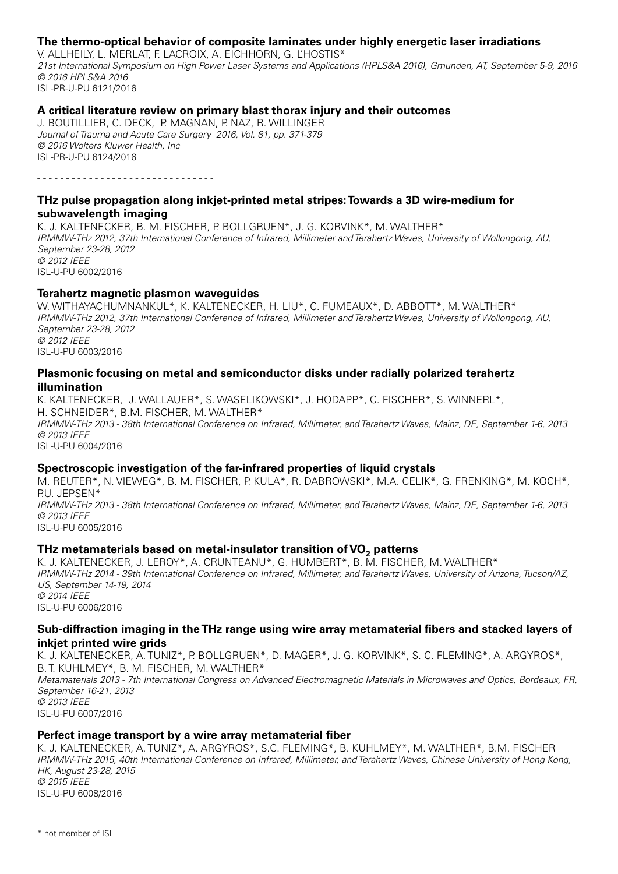# **The thermo-optical behavior of composite laminates under highly energetic laser irradiations**

V. ALLHEILY, L. MERLAT, F. LACROIX, A. EICHHORN, G. L'HOSTIS\* *21st International Symposium on High Power Laser Systems and Applications (HPLS&A 2016), Gmunden, AT, September 5-9, 2016 © 2016 HPLS&A 2016* ISL-PR-U-PU 6121/2016

#### **A critical literature review on primary blast thorax injury and their outcomes**

J. BOUTILLIER, C. DECK, P. MAGNAN, P. NAZ, R. WILLINGER *Journal of Trauma and Acute Care Surgery 2016, Vol. 81, pp. 371-379 © 2016 Wolters Kluwer Health, Inc* ISL-PR-U-PU 6124/2016

- - - - - - - - - - - - - - - - - - - - - - - - - - - - - - -

# **THz pulse propagation along inkjet-printed metal stripes: Towards a 3D wire-medium for subwavelength imaging**

K. J. KALTENECKER, B. M. FISCHER, P. BOLLGRUEN\*, J. G. KORVINK\*, M. WALTHER\* *IRMMW-THz 2012, 37th International Conference of Infrared, Millimeter and Terahertz Waves, University of Wollongong, AU, September 23-28, 2012 © 2012 IEEE* ISL-U-PU 6002/2016

#### **Terahertz magnetic plasmon waveguides**

W. WITHAYACHUMNANKUL\*, K. KALTENECKER, H. LIU\*, C. FUMEAUX\*, D. ABBOTT\*, M. WALTHER\* *IRMMW-THz 2012, 37th International Conference of Infrared, Millimeter and Terahertz Waves, University of Wollongong, AU, September 23-28, 2012 © 2012 IEEE* ISL-U-PU 6003/2016

#### **Plasmonic focusing on metal and semiconductor disks under radially polarized terahertz illumination**

K. KALTENECKER, J. WALLAUER\*, S. WASELIKOWSKI\*, J. HODAPP\*, C. FISCHER\*, S. WINNERL\*, H. SCHNEIDER\*, B.M. FISCHER, M. WALTHER\* *IRMMW-THz 2013 - 38th International Conference on Infrared, Millimeter, and Terahertz Waves, Mainz, DE, September 1-6, 2013 © 2013 IEEE* ISL-U-PU 6004/2016

# **Spectroscopic investigation of the far-infrared properties of liquid crystals**

M. REUTER\*, N. VIEWEG\*, B. M. FISCHER, P. KULA\*, R. DABROWSKI\*, M.A. CELIK\*, G. FRENKING\*, M. KOCH\*, P.U. JEPSEN\* *IRMMW-THz 2013 - 38th International Conference on Infrared, Millimeter, and Terahertz Waves, Mainz, DE, September 1-6, 2013 © 2013 IEEE* ISL-U-PU 6005/2016

# **THz metamaterials based on metal-insulator transition of VO<sub>2</sub> patterns**

K. J. KALTENECKER, J. LEROY\*, A. CRUNTEANU\*, G. HUMBERT\*, B. M. FISCHER, M. WALTHER\* *IRMMW-THz 2014 - 39th International Conference on Infrared, Millimeter, and Terahertz Waves, University of Arizona, Tucson/AZ, US, September 14-19, 2014 © 2014 IEEE* ISL-U-PU 6006/2016

# **Sub-diffraction imaging in the THz range using wire array metamaterial fibers and stacked layers of inkjet printed wire grids**

K. J. KALTENECKER, A. TUNIZ\*, P. BOLLGRUEN\*, D. MAGER\*, J. G. KORVINK\*, S. C. FLEMING\*, A. ARGYROS\*, B. T. KUHLMEY\*, B. M. FISCHER, M. WALTHER\*

*Metamaterials 2013 - 7th International Congress on Advanced Electromagnetic Materials in Microwaves and Optics, Bordeaux, FR, September 16-21, 2013*

*© 2013 IEEE* ISL-U-PU 6007/2016

# **Perfect image transport by a wire array metamaterial fiber**

K. J. KALTENECKER, A. TUNIZ\*, A. ARGYROS\*, S.C. FLEMING\*, B. KUHLMEY\*, M. WALTHER\*, B.M. FISCHER *IRMMW-THz 2015, 40th International Conference on Infrared, Millimeter, and Terahertz Waves, Chinese University of Hong Kong, HK, August 23-28, 2015 © 2015 IEEE*

ISL-U-PU 6008/2016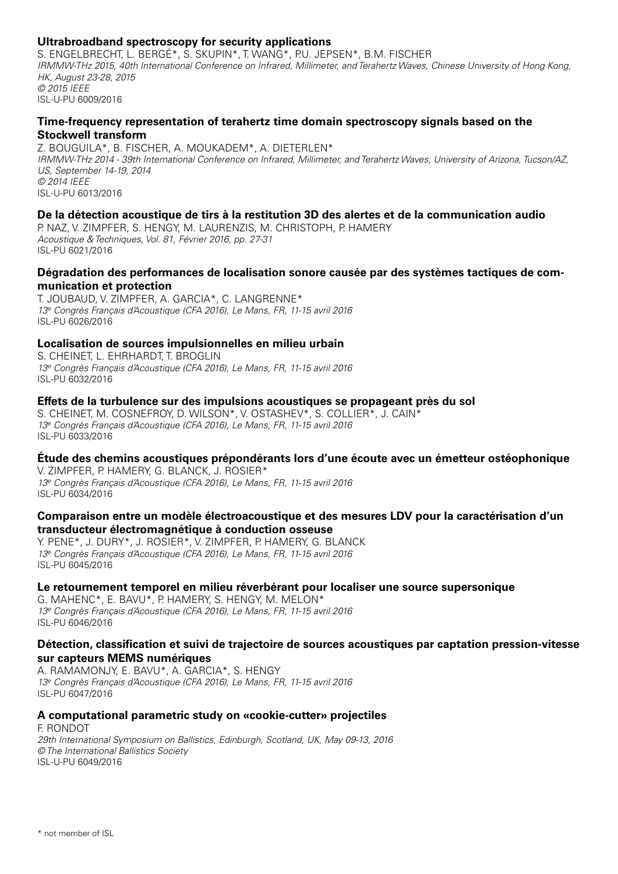# **Ultrabroadband spectroscopy for security applications**

S. ENGELBRECHT, L. BERGÉ\*, S. SKUPIN\*, T. WANG\*, P.U. JEPSEN\*, B.M. FISCHER *IRMMW-THz 2015, 40th International Conference on Infrared, Millimeter, and Terahertz Waves, Chinese University of Hong Kong, HK, August 23-28, 2015 © 2015 IEEE* ISL-U-PU 6009/2016

# **Time-frequency representation of terahertz time domain spectroscopy signals based on the Stockwell transform**

Z. BOUGUILA\*, B. FISCHER, A. MOUKADEM\*, A. DIETERLEN\* *IRMMW-THz 2014 - 39th International Conference on Infrared, Millimeter, and Terahertz Waves, University of Arizona, Tucson/AZ, US, September 14-19, 2014 © 2014 IEEE* ISL-U-PU 6013/2016

# **De la détection acoustique de tirs à la restitution 3D des alertes et de la communication audio**

P. NAZ, V. ZIMPFER, S. HENGY, M. LAURENZIS, M. CHRISTOPH, P. HAMERY *Acoustique & Techniques, Vol. 81, Février 2016, pp. 27-31* ISL-PU 6021/2016

# **Dégradation des performances de localisation sonore causée par des systèmes tactiques de communication et protection**

T. JOUBAUD, V. ZIMPFER, A. GARCIA\*, C. LANGRENNE\* *13e Congrès Français d'Acoustique (CFA 2016), Le Mans, FR, 11-15 avril 2016* ISL-PU 6026/2016

# **Localisation de sources impulsionnelles en milieu urbain**

S. CHEINET, L. EHRHARDT, T. BROGLIN *13e Congrès Français d'Acoustique (CFA 2016), Le Mans, FR, 11-15 avril 2016* ISL-PU 6032/2016

# **Effets de la turbulence sur des impulsions acoustiques se propageant près du sol**

S. CHEINET, M. COSNEFROY, D. WILSON\*, V. OSTASHEV\*, S. COLLIER\*, J. CAIN\* *13e Congrès Français d'Acoustique (CFA 2016), Le Mans, FR, 11-15 avril 2016* ISL-PU 6033/2016

# **Étude des chemins acoustiques prépondérants lors d'une écoute avec un émetteur ostéophonique**

V. ZIMPFER, P. HAMERY, G. BLANCK, J. ROSIER\* *13e Congrès Français d'Acoustique (CFA 2016), Le Mans, FR, 11-15 avril 2016* ISL-PU 6034/2016

# **Comparaison entre un modèle électroacoustique et des mesures LDV pour la caractérisation d'un transducteur électromagnétique à conduction osseuse**

Y. PENE\*, J. DURY\*, J. ROSIER\*, V. ZIMPFER, P. HAMERY, G. BLANCK *13e Congrès Français d'Acoustique (CFA 2016), Le Mans, FR, 11-15 avril 2016* ISL-PU 6045/2016

# **Le retournement temporel en milieu réverbérant pour localiser une source supersonique**

G. MAHENC\*, E. BAVU\*, P. HAMERY, S. HENGY, M. MELON\* *13e Congrès Français d'Acoustique (CFA 2016), Le Mans, FR, 11-15 avril 2016* ISL-PU 6046/2016

# **Détection, classification et suivi de trajectoire de sources acoustiques par captation pression-vitesse sur capteurs MEMS numériques**

A. RAMAMONJY, E. BAVU\*, A. GARCIA\*, S. HENGY *13e Congrès Français d'Acoustique (CFA 2016), Le Mans, FR, 11-15 avril 2016* ISL-PU 6047/2016

# **A computational parametric study on «cookie-cutter» projectiles**

F. RONDOT *29th International Symposium on Ballistics, Edinburgh, Scotland, UK, May 09-13, 2016 © The International Ballistics Society* ISL-U-PU 6049/2016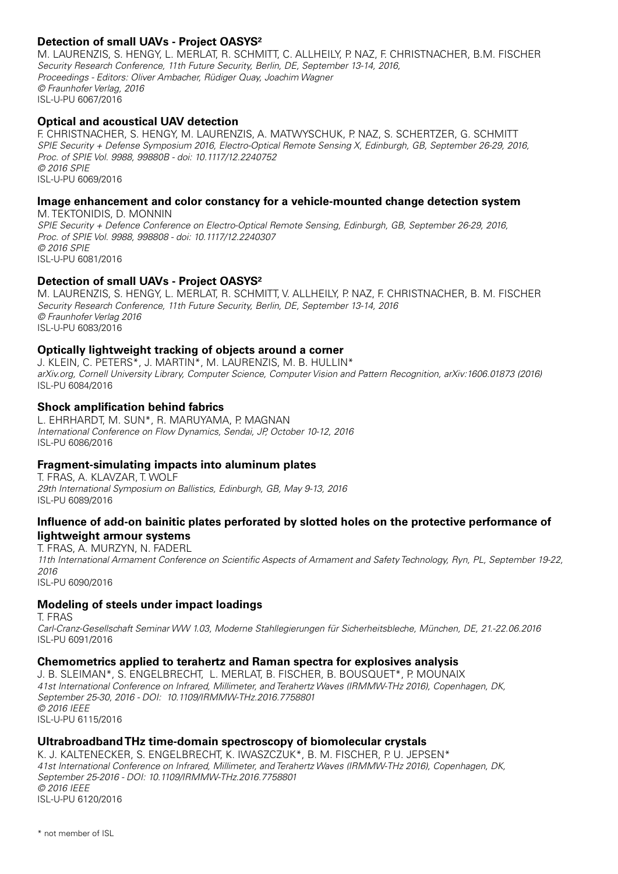# **Detection of small UAVs - Project OASYS²**

M. LAURENZIS, S. HENGY, L. MERLAT, R. SCHMITT, C. ALLHEILY, P. NAZ, F. CHRISTNACHER, B.M. FISCHER *Security Research Conference, 11th Future Security, Berlin, DE, September 13-14, 2016, Proceedings - Editors: Oliver Ambacher, Rüdiger Quay, Joachim Wagner © Fraunhofer Verlag, 2016* ISL-U-PU 6067/2016

# **Optical and acoustical UAV detection**

F. CHRISTNACHER, S. HENGY, M. LAURENZIS, A. MATWYSCHUK, P. NAZ, S. SCHERTZER, G. SCHMITT *SPIE Security + Defense Symposium 2016, Electro-Optical Remote Sensing X, Edinburgh, GB, September 26-29, 2016, Proc. of SPIE Vol. 9988, 99880B - doi: 10.1117/12.2240752 © 2016 SPIE* ISL-U-PU 6069/2016

# **Image enhancement and color constancy for a vehicle-mounted change detection system**

M. TEKTONIDIS, D. MONNIN *SPIE Security + Defence Conference on Electro-Optical Remote Sensing, Edinburgh, GB, September 26-29, 2016, Proc. of SPIE Vol. 9988, 998808 - doi: 10.1117/12.2240307 © 2016 SPIE* ISL-U-PU 6081/2016

# **Detection of small UAVs - Project OASYS²**

M. LAURENZIS, S. HENGY, L. MERLAT, R. SCHMITT, V. ALLHEILY, P. NAZ, F. CHRISTNACHER, B. M. FISCHER *Security Research Conference, 11th Future Security, Berlin, DE, September 13-14, 2016 © Fraunhofer Verlag 2016* ISL-U-PU 6083/2016

# **Optically lightweight tracking of objects around a corner**

J. KLEIN, C. PETERS\*, J. MARTIN\*, M. LAURENZIS, M. B. HULLIN\* *arXiv.org, Cornell University Library, Computer Science, Computer Vision and Pattern Recognition, arXiv:1606.01873 (2016)* ISL-PU 6084/2016

# **Shock amplification behind fabrics**

L. EHRHARDT, M. SUN\*, R. MARUYAMA, P. MAGNAN *International Conference on Flow Dynamics, Sendai, JP, October 10-12, 2016* ISL-PU 6086/2016

# **Fragment-simulating impacts into aluminum plates**

T. FRAS, A. KLAVZAR, T. WOLF *29th International Symposium on Ballistics, Edinburgh, GB, May 9-13, 2016* ISL-PU 6089/2016

# **Influence of add-on bainitic plates perforated by slotted holes on the protective performance of lightweight armour systems**

T. FRAS, A. MURZYN, N. FADERL *11th International Armament Conference on Scientific Aspects of Armament and Safety Technology, Ryn, PL, September 19-22, 2016* ISL-PU 6090/2016

# **Modeling of steels under impact loadings**

T. FRAS

*Carl-Cranz-Gesellschaft Seminar WW 1.03, Moderne Stahllegierungen für Sicherheitsbleche, München, DE, 21.-22.06.2016* ISL-PU 6091/2016

# **Chemometrics applied to terahertz and Raman spectra for explosives analysis**

J. B. SLEIMAN\*, S. ENGELBRECHT, L. MERLAT, B. FISCHER, B. BOUSQUET\*, P. MOUNAIX *41st International Conference on Infrared, Millimeter, and Terahertz Waves (IRMMW-THz 2016), Copenhagen, DK, September 25-30, 2016 - DOI: 10.1109/IRMMW-THz.2016.7758801 © 2016 IEEE* ISL-U-PU 6115/2016

# **Ultrabroadband THz time-domain spectroscopy of biomolecular crystals**

K. J. KALTENECKER, S. ENGELBRECHT, K. IWASZCZUK\*, B. M. FISCHER, P. U. JEPSEN\* *41st International Conference on Infrared, Millimeter, and Terahertz Waves (IRMMW-THz 2016), Copenhagen, DK, September 25-2016 - DOI: 10.1109/IRMMW-THz.2016.7758801 © 2016 IEEE* ISL-U-PU 6120/2016